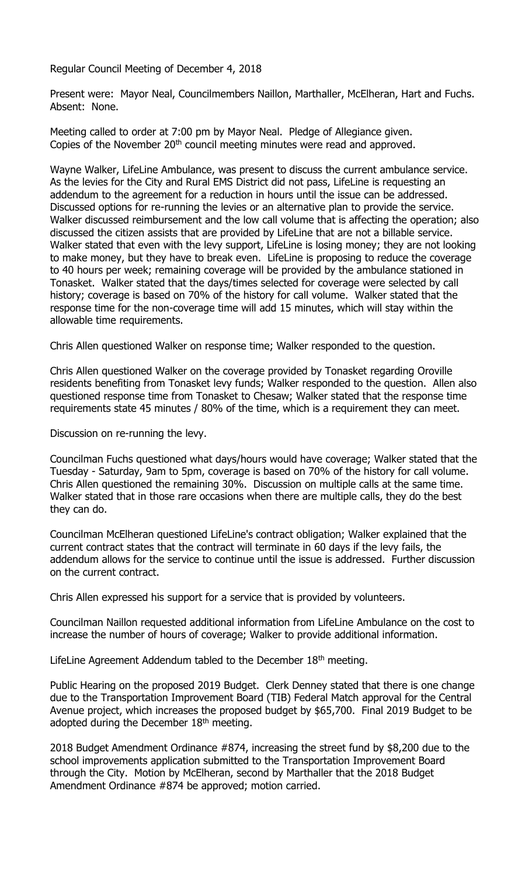Regular Council Meeting of December 4, 2018

Present were: Mayor Neal, Councilmembers Naillon, Marthaller, McElheran, Hart and Fuchs. Absent: None.

Meeting called to order at 7:00 pm by Mayor Neal. Pledge of Allegiance given. Copies of the November 20<sup>th</sup> council meeting minutes were read and approved.

Wayne Walker, LifeLine Ambulance, was present to discuss the current ambulance service. As the levies for the City and Rural EMS District did not pass, LifeLine is requesting an addendum to the agreement for a reduction in hours until the issue can be addressed. Discussed options for re-running the levies or an alternative plan to provide the service. Walker discussed reimbursement and the low call volume that is affecting the operation; also discussed the citizen assists that are provided by LifeLine that are not a billable service. Walker stated that even with the levy support, LifeLine is losing money; they are not looking to make money, but they have to break even. LifeLine is proposing to reduce the coverage to 40 hours per week; remaining coverage will be provided by the ambulance stationed in Tonasket. Walker stated that the days/times selected for coverage were selected by call history; coverage is based on 70% of the history for call volume. Walker stated that the response time for the non-coverage time will add 15 minutes, which will stay within the allowable time requirements.

Chris Allen questioned Walker on response time; Walker responded to the question.

Chris Allen questioned Walker on the coverage provided by Tonasket regarding Oroville residents benefiting from Tonasket levy funds; Walker responded to the question. Allen also questioned response time from Tonasket to Chesaw; Walker stated that the response time requirements state 45 minutes / 80% of the time, which is a requirement they can meet.

Discussion on re-running the levy.

Councilman Fuchs questioned what days/hours would have coverage; Walker stated that the Tuesday - Saturday, 9am to 5pm, coverage is based on 70% of the history for call volume. Chris Allen questioned the remaining 30%. Discussion on multiple calls at the same time. Walker stated that in those rare occasions when there are multiple calls, they do the best they can do.

Councilman McElheran questioned LifeLine's contract obligation; Walker explained that the current contract states that the contract will terminate in 60 days if the levy fails, the addendum allows for the service to continue until the issue is addressed. Further discussion on the current contract.

Chris Allen expressed his support for a service that is provided by volunteers.

Councilman Naillon requested additional information from LifeLine Ambulance on the cost to increase the number of hours of coverage; Walker to provide additional information.

LifeLine Agreement Addendum tabled to the December  $18<sup>th</sup>$  meeting.

Public Hearing on the proposed 2019 Budget. Clerk Denney stated that there is one change due to the Transportation Improvement Board (TIB) Federal Match approval for the Central Avenue project, which increases the proposed budget by \$65,700. Final 2019 Budget to be adopted during the December 18<sup>th</sup> meeting.

2018 Budget Amendment Ordinance #874, increasing the street fund by \$8,200 due to the school improvements application submitted to the Transportation Improvement Board through the City. Motion by McElheran, second by Marthaller that the 2018 Budget Amendment Ordinance #874 be approved; motion carried.